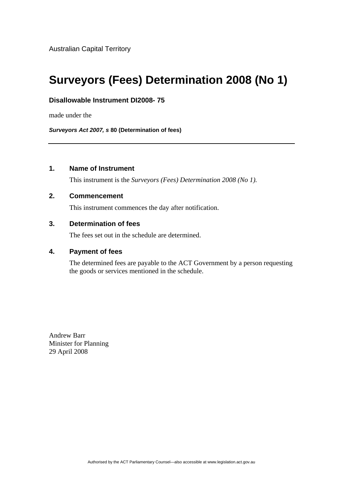# **Surveyors (Fees) Determination 2008 (No 1)**

## **Disallowable Instrument DI2008- 75**

made under the

*Surveyors Act 2007, s* **80 (Determination of fees)**

# **1. Name of Instrument**

This instrument is the *Surveyors (Fees) Determination 2008 (No 1).* 

#### **2. Commencement**

This instrument commences the day after notification.

# **3. Determination of fees**

The fees set out in the schedule are determined.

# **4. Payment of fees**

The determined fees are payable to the ACT Government by a person requesting the goods or services mentioned in the schedule.

Andrew Barr Minister for Planning 29 April 2008